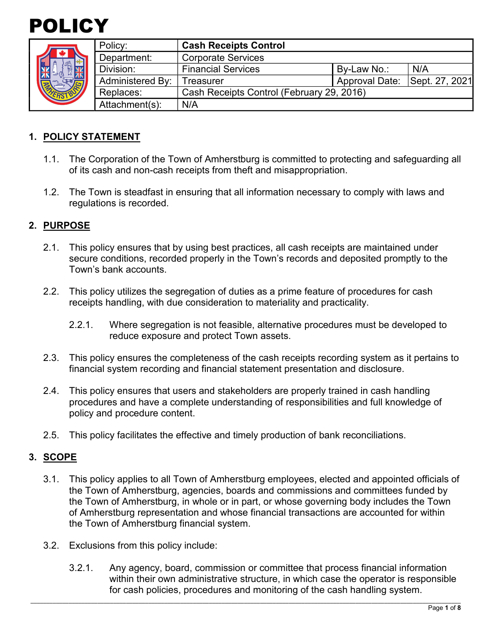



|  | Policy:                 | <b>Cash Receipts Control</b>              |                |                |
|--|-------------------------|-------------------------------------------|----------------|----------------|
|  | Department:             | <b>Corporate Services</b>                 |                |                |
|  | Division:               | <b>Financial Services</b>                 | By-Law No.:    | N/A            |
|  | <b>Administered By:</b> | Treasurer                                 | Approval Date: | Sept. 27, 2021 |
|  | Replaces:               | Cash Receipts Control (February 29, 2016) |                |                |
|  | Attachment(s):          | N/A                                       |                |                |

# **1. POLICY STATEMENT**

- 1.1. The Corporation of the Town of Amherstburg is committed to protecting and safeguarding all of its cash and non-cash receipts from theft and misappropriation.
- 1.2. The Town is steadfast in ensuring that all information necessary to comply with laws and regulations is recorded.

## **2. PURPOSE**

- 2.1. This policy ensures that by using best practices, all cash receipts are maintained under secure conditions, recorded properly in the Town's records and deposited promptly to the Town's bank accounts.
- 2.2. This policy utilizes the segregation of duties as a prime feature of procedures for cash receipts handling, with due consideration to materiality and practicality.
	- 2.2.1. Where segregation is not feasible, alternative procedures must be developed to reduce exposure and protect Town assets.
- 2.3. This policy ensures the completeness of the cash receipts recording system as it pertains to financial system recording and financial statement presentation and disclosure.
- 2.4. This policy ensures that users and stakeholders are properly trained in cash handling procedures and have a complete understanding of responsibilities and full knowledge of policy and procedure content.
- 2.5. This policy facilitates the effective and timely production of bank reconciliations.

# **3. SCOPE**

- 3.1. This policy applies to all Town of Amherstburg employees, elected and appointed officials of the Town of Amherstburg, agencies, boards and commissions and committees funded by the Town of Amherstburg, in whole or in part, or whose governing body includes the Town of Amherstburg representation and whose financial transactions are accounted for within the Town of Amherstburg financial system.
- 3.2. Exclusions from this policy include:
	- 3.2.1. Any agency, board, commission or committee that process financial information within their own administrative structure, in which case the operator is responsible for cash policies, procedures and monitoring of the cash handling system.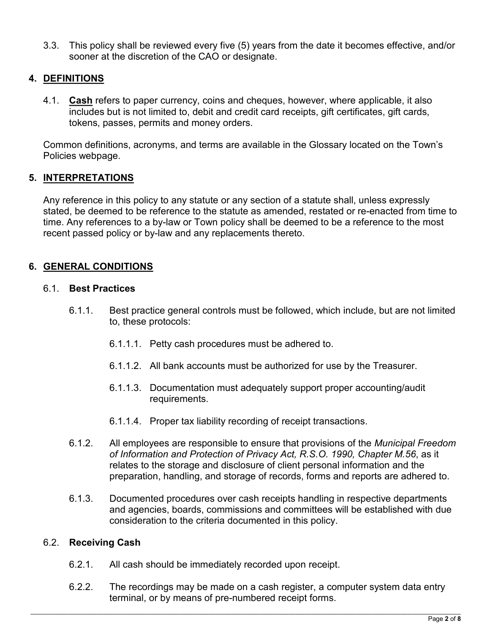3.3. This policy shall be reviewed every five (5) years from the date it becomes effective, and/or sooner at the discretion of the CAO or designate.

# **4. DEFINITIONS**

4.1. **Cash** refers to paper currency, coins and cheques, however, where applicable, it also includes but is not limited to, debit and credit card receipts, gift certificates, gift cards, tokens, passes, permits and money orders.

Common definitions, acronyms, and terms are available in the Glossary located on the Town's Policies webpage.

# **5. INTERPRETATIONS**

Any reference in this policy to any statute or any section of a statute shall, unless expressly stated, be deemed to be reference to the statute as amended, restated or re-enacted from time to time. Any references to a by-law or Town policy shall be deemed to be a reference to the most recent passed policy or by-law and any replacements thereto.

# **6. GENERAL CONDITIONS**

#### 6.1. **Best Practices**

- 6.1.1. Best practice general controls must be followed, which include, but are not limited to, these protocols:
	- 6.1.1.1. Petty cash procedures must be adhered to.
	- 6.1.1.2. All bank accounts must be authorized for use by the Treasurer.
	- 6.1.1.3. Documentation must adequately support proper accounting/audit requirements.
	- 6.1.1.4. Proper tax liability recording of receipt transactions.
- 6.1.2. All employees are responsible to ensure that provisions of the *Municipal Freedom of Information and Protection of Privacy Act, R.S.O. 1990, Chapter M.56*, as it relates to the storage and disclosure of client personal information and the preparation, handling, and storage of records, forms and reports are adhered to.
- 6.1.3. Documented procedures over cash receipts handling in respective departments and agencies, boards, commissions and committees will be established with due consideration to the criteria documented in this policy.

#### 6.2. **Receiving Cash**

- 6.2.1. All cash should be immediately recorded upon receipt.
- 6.2.2. The recordings may be made on a cash register, a computer system data entry terminal, or by means of pre-numbered receipt forms.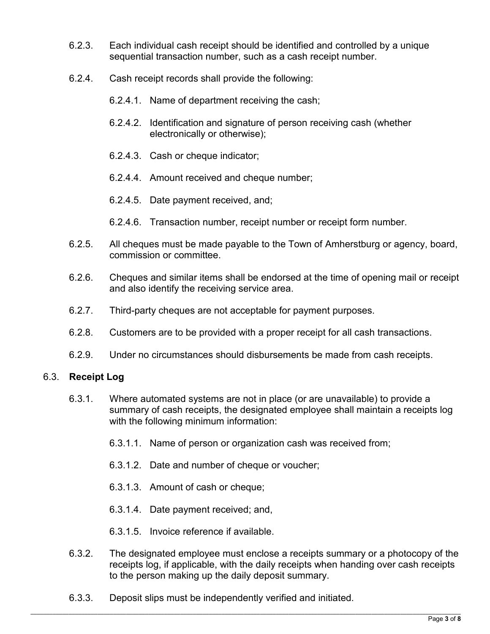- 6.2.3. Each individual cash receipt should be identified and controlled by a unique sequential transaction number, such as a cash receipt number.
- 6.2.4. Cash receipt records shall provide the following:
	- 6.2.4.1. Name of department receiving the cash;
	- 6.2.4.2. Identification and signature of person receiving cash (whether electronically or otherwise);
	- 6.2.4.3. Cash or cheque indicator;
	- 6.2.4.4. Amount received and cheque number;
	- 6.2.4.5. Date payment received, and;
	- 6.2.4.6. Transaction number, receipt number or receipt form number.
- 6.2.5. All cheques must be made payable to the Town of Amherstburg or agency, board, commission or committee.
- 6.2.6. Cheques and similar items shall be endorsed at the time of opening mail or receipt and also identify the receiving service area.
- 6.2.7. Third-party cheques are not acceptable for payment purposes.
- 6.2.8. Customers are to be provided with a proper receipt for all cash transactions.
- 6.2.9. Under no circumstances should disbursements be made from cash receipts.

# 6.3. **Receipt Log**

- 6.3.1. Where automated systems are not in place (or are unavailable) to provide a summary of cash receipts, the designated employee shall maintain a receipts log with the following minimum information:
	- 6.3.1.1. Name of person or organization cash was received from;
	- 6.3.1.2. Date and number of cheque or voucher;
	- 6.3.1.3. Amount of cash or cheque;
	- 6.3.1.4. Date payment received; and,
	- 6.3.1.5. Invoice reference if available.
- 6.3.2. The designated employee must enclose a receipts summary or a photocopy of the receipts log, if applicable, with the daily receipts when handing over cash receipts to the person making up the daily deposit summary.
- 6.3.3. Deposit slips must be independently verified and initiated.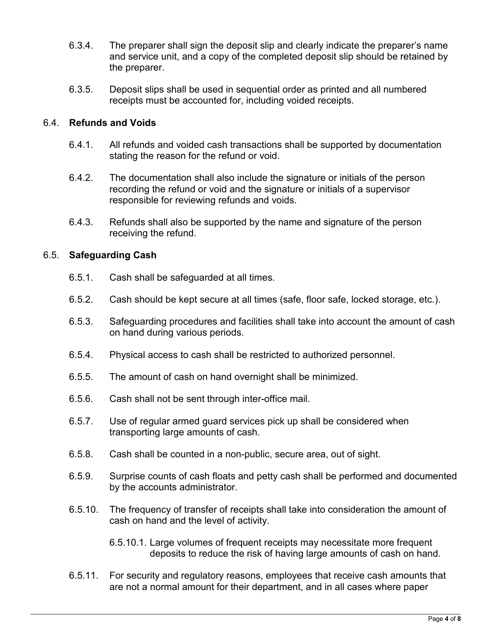- 6.3.4. The preparer shall sign the deposit slip and clearly indicate the preparer's name and service unit, and a copy of the completed deposit slip should be retained by the preparer.
- 6.3.5. Deposit slips shall be used in sequential order as printed and all numbered receipts must be accounted for, including voided receipts.

## 6.4. **Refunds and Voids**

- 6.4.1. All refunds and voided cash transactions shall be supported by documentation stating the reason for the refund or void.
- 6.4.2. The documentation shall also include the signature or initials of the person recording the refund or void and the signature or initials of a supervisor responsible for reviewing refunds and voids.
- 6.4.3. Refunds shall also be supported by the name and signature of the person receiving the refund.

## 6.5. **Safeguarding Cash**

- 6.5.1. Cash shall be safeguarded at all times.
- 6.5.2. Cash should be kept secure at all times (safe, floor safe, locked storage, etc.).
- 6.5.3. Safeguarding procedures and facilities shall take into account the amount of cash on hand during various periods.
- 6.5.4. Physical access to cash shall be restricted to authorized personnel.
- 6.5.5. The amount of cash on hand overnight shall be minimized.
- 6.5.6. Cash shall not be sent through inter-office mail.
- 6.5.7. Use of regular armed guard services pick up shall be considered when transporting large amounts of cash.
- 6.5.8. Cash shall be counted in a non-public, secure area, out of sight.
- 6.5.9. Surprise counts of cash floats and petty cash shall be performed and documented by the accounts administrator.
- 6.5.10. The frequency of transfer of receipts shall take into consideration the amount of cash on hand and the level of activity.
	- 6.5.10.1. Large volumes of frequent receipts may necessitate more frequent deposits to reduce the risk of having large amounts of cash on hand.
- 6.5.11. For security and regulatory reasons, employees that receive cash amounts that are not a normal amount for their department, and in all cases where paper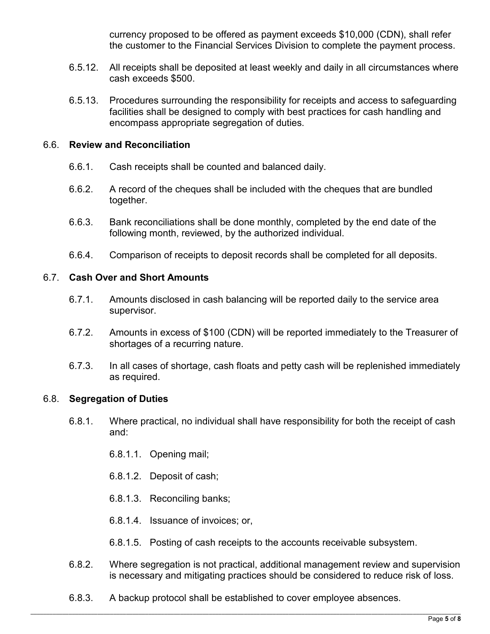currency proposed to be offered as payment exceeds \$10,000 (CDN), shall refer the customer to the Financial Services Division to complete the payment process.

- 6.5.12. All receipts shall be deposited at least weekly and daily in all circumstances where cash exceeds \$500.
- 6.5.13. Procedures surrounding the responsibility for receipts and access to safeguarding facilities shall be designed to comply with best practices for cash handling and encompass appropriate segregation of duties.

#### 6.6. **Review and Reconciliation**

- 6.6.1. Cash receipts shall be counted and balanced daily.
- 6.6.2. A record of the cheques shall be included with the cheques that are bundled together.
- 6.6.3. Bank reconciliations shall be done monthly, completed by the end date of the following month, reviewed, by the authorized individual.
- 6.6.4. Comparison of receipts to deposit records shall be completed for all deposits.

#### 6.7. **Cash Over and Short Amounts**

- 6.7.1. Amounts disclosed in cash balancing will be reported daily to the service area supervisor.
- 6.7.2. Amounts in excess of \$100 (CDN) will be reported immediately to the Treasurer of shortages of a recurring nature.
- 6.7.3. In all cases of shortage, cash floats and petty cash will be replenished immediately as required.

#### 6.8. **Segregation of Duties**

- 6.8.1. Where practical, no individual shall have responsibility for both the receipt of cash and:
	- 6.8.1.1. Opening mail;
	- 6.8.1.2. Deposit of cash;
	- 6.8.1.3. Reconciling banks;
	- 6.8.1.4. Issuance of invoices; or,
	- 6.8.1.5. Posting of cash receipts to the accounts receivable subsystem.
- 6.8.2. Where segregation is not practical, additional management review and supervision is necessary and mitigating practices should be considered to reduce risk of loss.
- 6.8.3. A backup protocol shall be established to cover employee absences.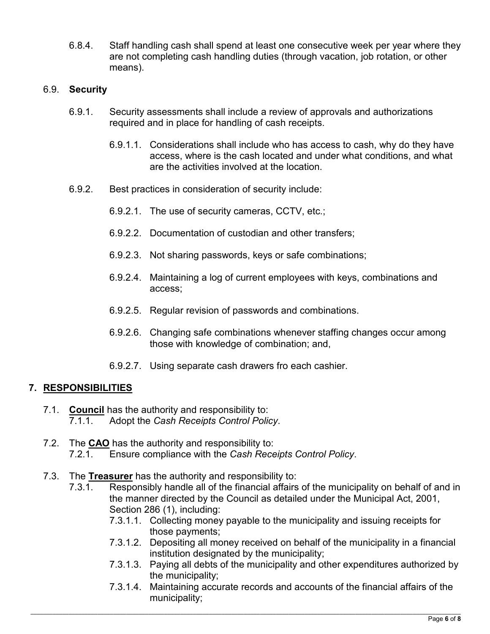6.8.4. Staff handling cash shall spend at least one consecutive week per year where they are not completing cash handling duties (through vacation, job rotation, or other means).

#### 6.9. **Security**

- 6.9.1. Security assessments shall include a review of approvals and authorizations required and in place for handling of cash receipts.
	- 6.9.1.1. Considerations shall include who has access to cash, why do they have access, where is the cash located and under what conditions, and what are the activities involved at the location.
- 6.9.2. Best practices in consideration of security include:
	- 6.9.2.1. The use of security cameras, CCTV, etc.;
	- 6.9.2.2. Documentation of custodian and other transfers;
	- 6.9.2.3. Not sharing passwords, keys or safe combinations;
	- 6.9.2.4. Maintaining a log of current employees with keys, combinations and access;
	- 6.9.2.5. Regular revision of passwords and combinations.
	- 6.9.2.6. Changing safe combinations whenever staffing changes occur among those with knowledge of combination; and,
	- 6.9.2.7. Using separate cash drawers fro each cashier.

# **7. RESPONSIBILITIES**

- 7.1. **Council** has the authority and responsibility to: 7.1.1. Adopt the *Cash Receipts Control Policy*.
- 7.2. The **CAO** has the authority and responsibility to: 7.2.1. Ensure compliance with the *Cash Receipts Control Policy*.
- 7.3. The **Treasurer** has the authority and responsibility to:
	- 7.3.1. Responsibly handle all of the financial affairs of the municipality on behalf of and in the manner directed by the Council as detailed under the Municipal Act, 2001, Section 286 (1), including:
		- 7.3.1.1. Collecting money payable to the municipality and issuing receipts for those payments;
		- 7.3.1.2. Depositing all money received on behalf of the municipality in a financial institution designated by the municipality;
		- 7.3.1.3. Paying all debts of the municipality and other expenditures authorized by the municipality;
		- 7.3.1.4. Maintaining accurate records and accounts of the financial affairs of the municipality;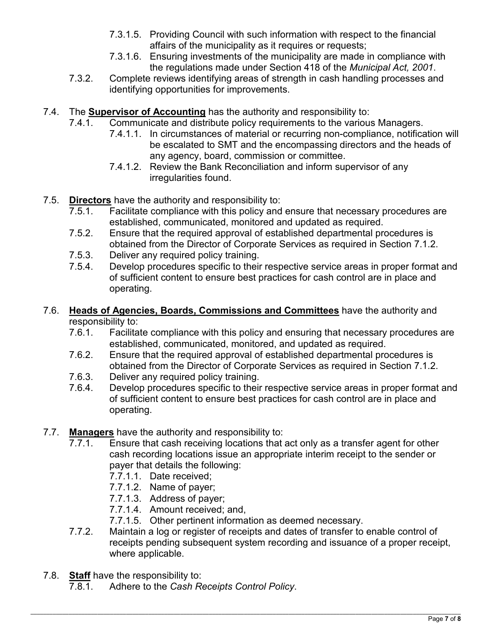- 7.3.1.5. Providing Council with such information with respect to the financial affairs of the municipality as it requires or requests;
- 7.3.1.6. Ensuring investments of the municipality are made in compliance with the regulations made under Section 418 of the *Municipal Act, 2001*.
- 7.3.2. Complete reviews identifying areas of strength in cash handling processes and identifying opportunities for improvements.
- 7.4. The **Supervisor of Accounting** has the authority and responsibility to:
	- 7.4.1. Communicate and distribute policy requirements to the various Managers.
		- 7.4.1.1. In circumstances of material or recurring non-compliance, notification will be escalated to SMT and the encompassing directors and the heads of any agency, board, commission or committee.
		- 7.4.1.2. Review the Bank Reconciliation and inform supervisor of any irregularities found.
- 7.5. **Directors** have the authority and responsibility to:
	- 7.5.1. Facilitate compliance with this policy and ensure that necessary procedures are established, communicated, monitored and updated as required.
	- 7.5.2. Ensure that the required approval of established departmental procedures is obtained from the Director of Corporate Services as required in Section 7.1.2.
	- 7.5.3. Deliver any required policy training.
	- 7.5.4. Develop procedures specific to their respective service areas in proper format and of sufficient content to ensure best practices for cash control are in place and operating.
- 7.6. **Heads of Agencies, Boards, Commissions and Committees** have the authority and responsibility to:
	- 7.6.1. Facilitate compliance with this policy and ensuring that necessary procedures are established, communicated, monitored, and updated as required.
	- 7.6.2. Ensure that the required approval of established departmental procedures is obtained from the Director of Corporate Services as required in Section 7.1.2.
	- 7.6.3. Deliver any required policy training.
	- 7.6.4. Develop procedures specific to their respective service areas in proper format and of sufficient content to ensure best practices for cash control are in place and operating.
- 7.7. **Managers** have the authority and responsibility to:
	- 7.7.1. Ensure that cash receiving locations that act only as a transfer agent for other cash recording locations issue an appropriate interim receipt to the sender or payer that details the following:
		- 7.7.1.1. Date received;
		- 7.7.1.2. Name of payer;
		- 7.7.1.3. Address of payer;
		- 7.7.1.4. Amount received; and,
		- 7.7.1.5. Other pertinent information as deemed necessary.
	- 7.7.2. Maintain a log or register of receipts and dates of transfer to enable control of receipts pending subsequent system recording and issuance of a proper receipt, where applicable.
- 7.8. **Staff** have the responsibility to:
	- 7.8.1. Adhere to the *Cash Receipts Control Policy*.